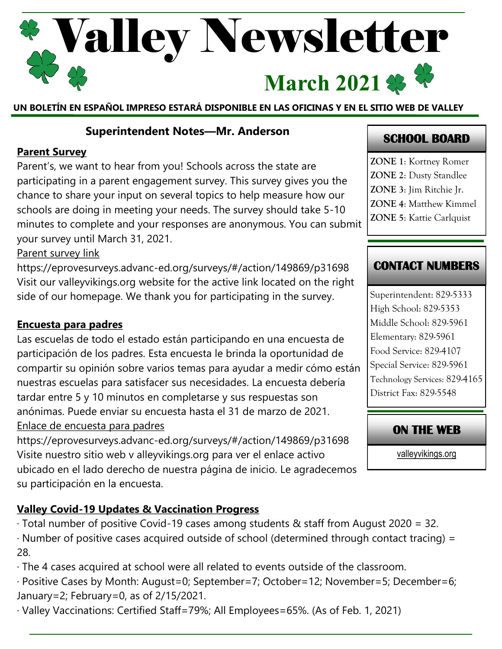# Valley Newsletter March 2021  $\clubsuit$

**UN BOLETÍN EN ESPAÑOL IMPRESO ESTARÁ DISPONIBLE EN LAS OFICINAS Y EN EL SITIO WEB DE VALLEY**

#### **Superintendent Notes—Mr. Anderson**

#### **Parent Survey**

Parent's, we want to hear from you! Schools across the state are participating in a parent engagement survey. This survey gives you the chance to share your input on several topics to help measure how our schools are doing in meeting your needs. The survey should take 5-10 minutes to complete and your responses are anonymous. You can submit your survey until March 31, 2021.

#### Parent survey link

https://eprovesurveys.advanc-ed.org/surveys/#/action/149869/p31698 Visit our valleyvikings.org website for the active link located on the right side of our homepage. We thank you for participating in the survey.

#### **Encuesta para padres**

Las escuelas de todo el estado están participando en una encuesta de participación de los padres. Esta encuesta le brinda la oportunidad de compartir su opinión sobre varios temas para ayudar a medir cómo están nuestras escuelas para satisfacer sus necesidades. La encuesta debería tardar entre 5 y 10 minutos en completarse y sus respuestas son anónimas. Puede enviar su encuesta hasta el 31 de marzo de 2021. Enlace de encuesta para padres

https://eprovesurveys.advanc-ed.org/surveys/#/action/149869/p31698 Visite nuestro sitio web v alleyvikings.org para ver el enlace activo ubicado en el lado derecho de nuestra página de inicio. Le agradecemos su participación en la encuesta.

## **Valley Covid-19 Updates & Vaccination Progress**

- · Total number of positive Covid-19 cases among students & staff from August 2020 = 32.
- · Number of positive cases acquired outside of school (determined through contact tracing) = 28.
- · The 4 cases acquired at school were all related to events outside of the classroom.
- · Positive Cases by Month: August=0; September=7; October=12; November=5; December=6; January=2; February=0, as of 2/15/2021.

· Valley Vaccinations: Certified Staff=79%; All Employees=65%. (As of Feb. 1, 2021)

# **SCHOOL BOARD**

**ZONE 1**: Kortney Romer **ZONE 2**: Dusty Standlee **ZONE 3**: Jim Ritchie Jr. **ZONE 4**: Matthew Kimmel **ZONE 5**: Kattie Carlquist

## **CONTACT NUMBERS**

Superintendent: 829-5333 High School: 829-5353 Middle School: 829-5961 Elementary: 829-5961 Food Service: 829-4107 Special Service: 829-5961 Technology Services: 829-4165 District Fax: 829-5548

## **ON THE WEB**

[valleyvikings.org](http://www.valleyvikings.org/)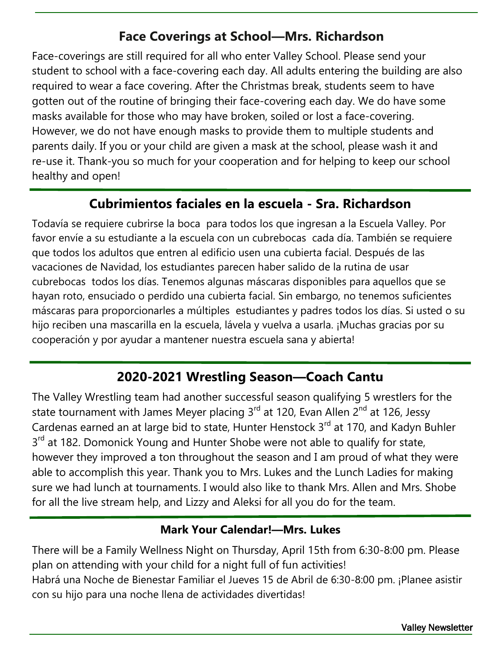# **Face Coverings at School—Mrs. Richardson**

Face-coverings are still required for all who enter Valley School. Please send your student to school with a face-covering each day. All adults entering the building are also required to wear a face covering. After the Christmas break, students seem to have gotten out of the routine of bringing their face-covering each day. We do have some masks available for those who may have broken, soiled or lost a face-covering. However, we do not have enough masks to provide them to multiple students and parents daily. If you or your child are given a mask at the school, please wash it and re-use it. Thank-you so much for your cooperation and for helping to keep our school healthy and open!

## **Cubrimientos faciales en la escuela - Sra. Richardson**

Todavía se requiere cubrirse la boca para todos los que ingresan a la Escuela Valley. Por favor envíe a su estudiante a la escuela con un cubrebocas cada día. También se requiere que todos los adultos que entren al edificio usen una cubierta facial. Después de las vacaciones de Navidad, los estudiantes parecen haber salido de la rutina de usar cubrebocas todos los días. Tenemos algunas máscaras disponibles para aquellos que se hayan roto, ensuciado o perdido una cubierta facial. Sin embargo, no tenemos suficientes máscaras para proporcionarles a múltiples estudiantes y padres todos los días. Si usted o su hijo reciben una mascarilla en la escuela, lávela y vuelva a usarla. ¡Muchas gracias por su cooperación y por ayudar a mantener nuestra escuela sana y abierta!

# **2020-2021 Wrestling Season—Coach Cantu**

The Valley Wrestling team had another successful season qualifying 5 wrestlers for the state tournament with James Meyer placing 3<sup>rd</sup> at 120, Evan Allen 2<sup>nd</sup> at 126, Jessy Cardenas earned an at large bid to state, Hunter Henstock  $3^{rd}$  at 170, and Kadyn Buhler 3<sup>rd</sup> at 182. Domonick Young and Hunter Shobe were not able to qualify for state, however they improved a ton throughout the season and I am proud of what they were able to accomplish this year. Thank you to Mrs. Lukes and the Lunch Ladies for making sure we had lunch at tournaments. I would also like to thank Mrs. Allen and Mrs. Shobe for all the live stream help, and Lizzy and Aleksi for all you do for the team.

#### **Mark Your Calendar!—Mrs. Lukes**

There will be a Family Wellness Night on Thursday, April 15th from 6:30-8:00 pm. Please plan on attending with your child for a night full of fun activities! Habrá una Noche de Bienestar Familiar el Jueves 15 de Abril de 6:30-8:00 pm. ¡Planee asistir con su hijo para una noche llena de actividades divertidas!